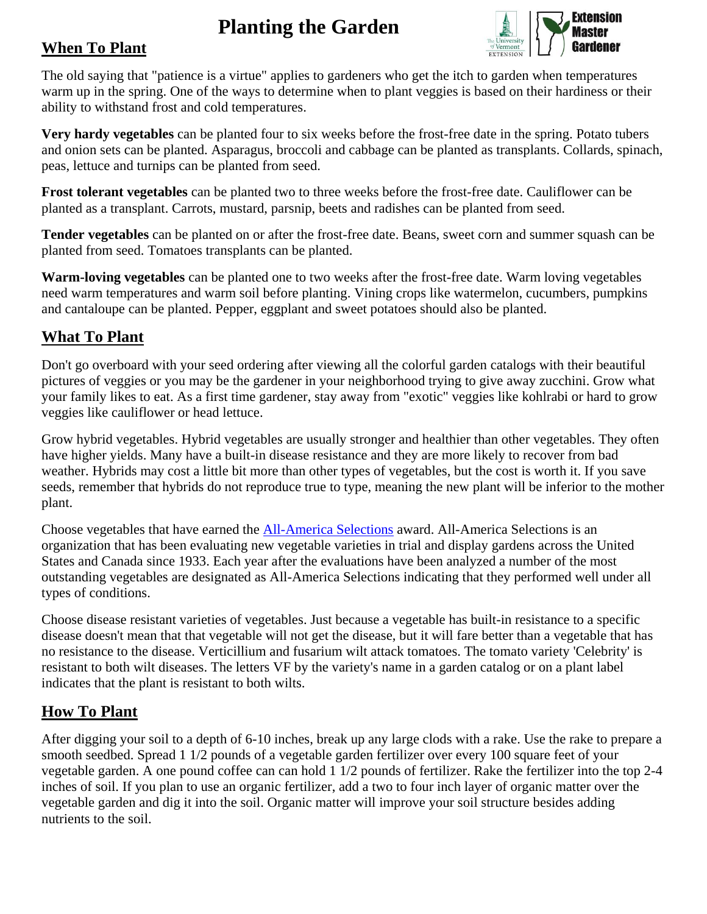# **Planting the Garden**



## **When To Plant**

The old saying that "patience is a virtue" applies to gardeners who get the itch to garden when temperatures warm up in the spring. One of the ways to determine when to plant veggies is based on their hardiness or their ability to withstand frost and cold temperatures.

**Very hardy vegetables** can be planted four to six weeks before the frost-free date in the spring. Potato tubers and onion sets can be planted. Asparagus, broccoli and cabbage can be planted as transplants. Collards, spinach, peas, lettuce and turnips can be planted from seed.

**Frost tolerant vegetables** can be planted two to three weeks before the frost-free date. Cauliflower can be planted as a transplant. Carrots, mustard, parsnip, beets and radishes can be planted from seed.

**Tender vegetables** can be planted on or after the frost-free date. Beans, sweet corn and summer squash can be planted from seed. Tomatoes transplants can be planted.

**Warm-loving vegetables** can be planted one to two weeks after the frost-free date. Warm loving vegetables need warm temperatures and warm soil before planting. Vining crops like watermelon, cucumbers, pumpkins and cantaloupe can be planted. Pepper, eggplant and sweet potatoes should also be planted.

# **What To Plant**

Don't go overboard with your seed ordering after viewing all the colorful garden catalogs with their beautiful pictures of veggies or you may be the gardener in your neighborhood trying to give away zucchini. Grow what your family likes to eat. As a first time gardener, stay away from "exotic" veggies like kohlrabi or hard to grow veggies like cauliflower or head lettuce.

Grow hybrid vegetables. Hybrid vegetables are usually stronger and healthier than other vegetables. They often have higher yields. Many have a built-in disease resistance and they are more likely to recover from bad weather. Hybrids may cost a little bit more than other types of vegetables, but the cost is worth it. If you save seeds, remember that hybrids do not reproduce true to type, meaning the new plant will be inferior to the mother plant.

Choose vegetables that have earned the [All-America Selections](http://www.all-americaselections.org/) award. All-America Selections is an organization that has been evaluating new vegetable varieties in trial and display gardens across the United States and Canada since 1933. Each year after the evaluations have been analyzed a number of the most outstanding vegetables are designated as All-America Selections indicating that they performed well under all types of conditions.

Choose disease resistant varieties of vegetables. Just because a vegetable has built-in resistance to a specific disease doesn't mean that that vegetable will not get the disease, but it will fare better than a vegetable that has no resistance to the disease. Verticillium and fusarium wilt attack tomatoes. The tomato variety 'Celebrity' is resistant to both wilt diseases. The letters VF by the variety's name in a garden catalog or on a plant label indicates that the plant is resistant to both wilts.

## **How To Plant**

After digging your soil to a depth of 6-10 inches, break up any large clods with a rake. Use the rake to prepare a smooth seedbed. Spread 1 1/2 pounds of a vegetable garden fertilizer over every 100 square feet of your vegetable garden. A one pound coffee can can hold 1 1/2 pounds of fertilizer. Rake the fertilizer into the top 2-4 inches of soil. If you plan to use an organic fertilizer, add a two to four inch layer of organic matter over the vegetable garden and dig it into the soil. Organic matter will improve your soil structure besides adding nutrients to the soil.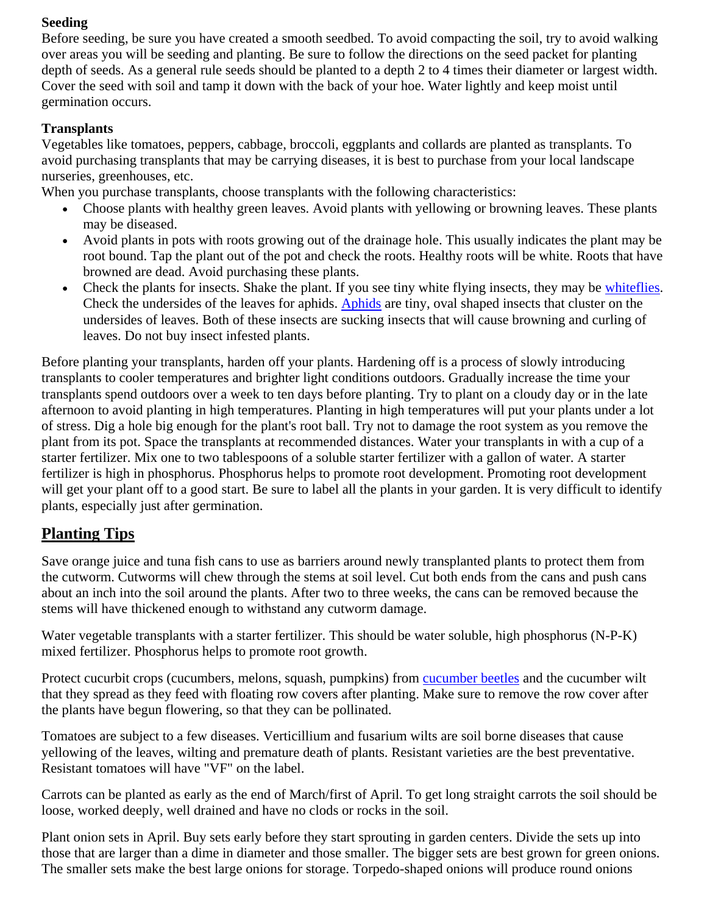#### **Seeding**

Before seeding, be sure you have created a smooth seedbed. To avoid compacting the soil, try to avoid walking over areas you will be seeding and planting. Be sure to follow the directions on the seed packet for planting depth of seeds. As a general rule seeds should be planted to a depth 2 to 4 times their diameter or largest width. Cover the seed with soil and tamp it down with the back of your hoe. Water lightly and keep moist until germination occurs.

### **Transplants**

Vegetables like tomatoes, peppers, cabbage, broccoli, eggplants and collards are planted as transplants. To avoid purchasing transplants that may be carrying diseases, it is best to purchase from your local landscape nurseries, greenhouses, etc.

When you purchase transplants, choose transplants with the following characteristics:

- Choose plants with healthy green leaves. Avoid plants with yellowing or browning leaves. These plants may be diseased.
- Avoid plants in pots with roots growing out of the drainage hole. This usually indicates the plant may be root bound. Tap the plant out of the pot and check the roots. Healthy roots will be white. Roots that have browned are dead. Avoid purchasing these plants.
- Check the plants for insects. Shake the plant. If you see tiny white flying insects, they may be [whiteflies.](http://extension.missouri.edu/explore/agguides/pests/g07275.htm) Check the undersides of the leaves for aphids. [Aphids](http://urbanext.illinois.edu/vegproblems/aphids.html) are tiny, oval shaped insects that cluster on the undersides of leaves. Both of these insects are sucking insects that will cause browning and curling of leaves. Do not buy insect infested plants.

Before planting your transplants, harden off your plants. Hardening off is a process of slowly introducing transplants to cooler temperatures and brighter light conditions outdoors. Gradually increase the time your transplants spend outdoors over a week to ten days before planting. Try to plant on a cloudy day or in the late afternoon to avoid planting in high temperatures. Planting in high temperatures will put your plants under a lot of stress. Dig a hole big enough for the plant's root ball. Try not to damage the root system as you remove the plant from its pot. Space the transplants at recommended distances. Water your transplants in with a cup of a starter fertilizer. Mix one to two tablespoons of a soluble starter fertilizer with a gallon of water. A starter fertilizer is high in phosphorus. Phosphorus helps to promote root development. Promoting root development will get your plant off to a good start. Be sure to label all the plants in your garden. It is very difficult to identify plants, especially just after germination.

# **Planting Tips**

Save orange juice and tuna fish cans to use as barriers around newly transplanted plants to protect them from the cutworm. Cutworms will chew through the stems at soil level. Cut both ends from the cans and push cans about an inch into the soil around the plants. After two to three weeks, the cans can be removed because the stems will have thickened enough to withstand any cutworm damage.

Water vegetable transplants with a starter fertilizer. This should be water soluble, high phosphorus (N-P-K) mixed fertilizer. Phosphorus helps to promote root growth.

Protect cucurbit crops (cucumbers, melons, squash, pumpkins) from [cucumber beetles](http://urbanext.illinois.edu/vegproblems/cubeetle.html) and the cucumber wilt that they spread as they feed with floating row covers after planting. Make sure to remove the row cover after the plants have begun flowering, so that they can be pollinated.

Tomatoes are subject to a few diseases. Verticillium and fusarium wilts are soil borne diseases that cause yellowing of the leaves, wilting and premature death of plants. Resistant varieties are the best preventative. Resistant tomatoes will have "VF" on the label.

Carrots can be planted as early as the end of March/first of April. To get long straight carrots the soil should be loose, worked deeply, well drained and have no clods or rocks in the soil.

Plant onion sets in April. Buy sets early before they start sprouting in garden centers. Divide the sets up into those that are larger than a dime in diameter and those smaller. The bigger sets are best grown for green onions. The smaller sets make the best large onions for storage. Torpedo-shaped onions will produce round onions